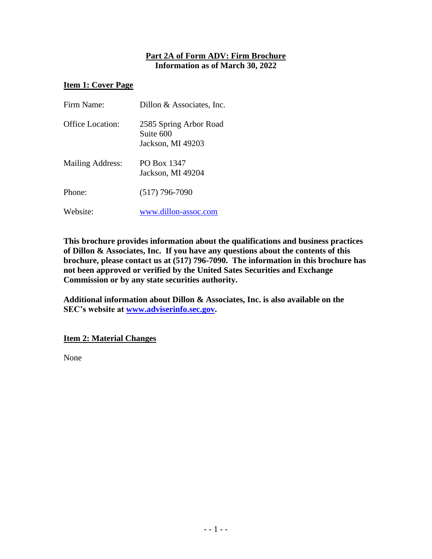### **Part 2A of Form ADV: Firm Brochure Information as of March 30, 2022**

### **Item 1: Cover Page**

| Firm Name:              | Dillon & Associates, Inc.                                |
|-------------------------|----------------------------------------------------------|
| <b>Office Location:</b> | 2585 Spring Arbor Road<br>Suite 600<br>Jackson, MI 49203 |
| Mailing Address:        | PO Box 1347<br>Jackson, MI 49204                         |
| Phone:                  | $(517)$ 796-7090                                         |
| Website:                | www.dillon-assoc.com                                     |

**This brochure provides information about the qualifications and business practices of Dillon & Associates, Inc. If you have any questions about the contents of this brochure, please contact us at (517) 796-7090. The information in this brochure has not been approved or verified by the United Sates Securities and Exchange Commission or by any state securities authority.** 

**Additional information about Dillon & Associates, Inc. is also available on the SEC's website at [www.adviserinfo.sec.gov.](http://www.adviserinfo.sec.gov/)**

#### **Item 2: Material Changes**

None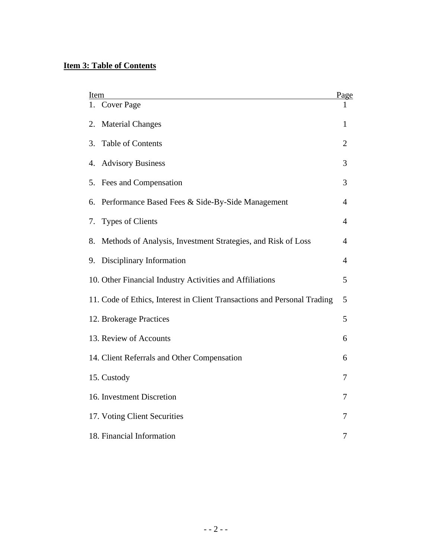# **Item 3: Table of Contents**

| Item                                                                     |                |
|--------------------------------------------------------------------------|----------------|
| 1. Cover Page                                                            | Page<br>1      |
| <b>Material Changes</b><br>2.                                            | 1              |
| <b>Table of Contents</b><br>3.                                           | $\overline{2}$ |
| <b>Advisory Business</b><br>4.                                           | 3              |
| 5. Fees and Compensation                                                 | 3              |
| Performance Based Fees & Side-By-Side Management<br>6.                   | $\overline{4}$ |
| <b>Types of Clients</b><br>7.                                            | 4              |
| Methods of Analysis, Investment Strategies, and Risk of Loss<br>8.       | 4              |
| Disciplinary Information<br>9.                                           | $\overline{4}$ |
| 10. Other Financial Industry Activities and Affiliations                 | 5              |
| 11. Code of Ethics, Interest in Client Transactions and Personal Trading | 5              |
| 12. Brokerage Practices                                                  | 5              |
| 13. Review of Accounts                                                   | 6              |
| 14. Client Referrals and Other Compensation                              | 6              |
| 15. Custody                                                              | 7              |
| 16. Investment Discretion                                                | 7              |
| 17. Voting Client Securities                                             | 7              |
| 18. Financial Information                                                | 7              |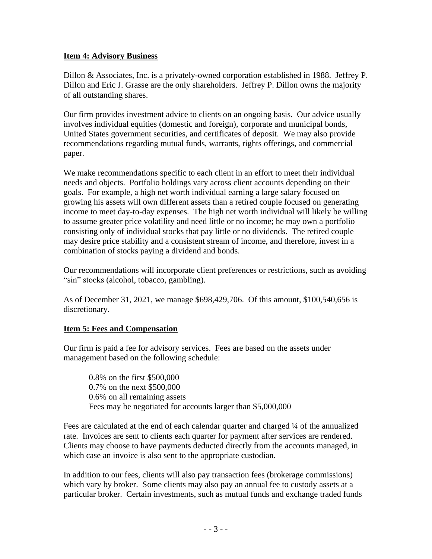### **Item 4: Advisory Business**

Dillon & Associates, Inc. is a privately-owned corporation established in 1988. Jeffrey P. Dillon and Eric J. Grasse are the only shareholders. Jeffrey P. Dillon owns the majority of all outstanding shares.

Our firm provides investment advice to clients on an ongoing basis. Our advice usually involves individual equities (domestic and foreign), corporate and municipal bonds, United States government securities, and certificates of deposit. We may also provide recommendations regarding mutual funds, warrants, rights offerings, and commercial paper.

We make recommendations specific to each client in an effort to meet their individual needs and objects. Portfolio holdings vary across client accounts depending on their goals. For example, a high net worth individual earning a large salary focused on growing his assets will own different assets than a retired couple focused on generating income to meet day-to-day expenses. The high net worth individual will likely be willing to assume greater price volatility and need little or no income; he may own a portfolio consisting only of individual stocks that pay little or no dividends. The retired couple may desire price stability and a consistent stream of income, and therefore, invest in a combination of stocks paying a dividend and bonds.

Our recommendations will incorporate client preferences or restrictions, such as avoiding "sin" stocks (alcohol, tobacco, gambling).

As of December 31, 2021, we manage \$698,429,706. Of this amount, \$100,540,656 is discretionary.

### **Item 5: Fees and Compensation**

Our firm is paid a fee for advisory services. Fees are based on the assets under management based on the following schedule:

0.8% on the first \$500,000 0.7% on the next \$500,000 0.6% on all remaining assets Fees may be negotiated for accounts larger than \$5,000,000

Fees are calculated at the end of each calendar quarter and charged ¼ of the annualized rate. Invoices are sent to clients each quarter for payment after services are rendered. Clients may choose to have payments deducted directly from the accounts managed, in which case an invoice is also sent to the appropriate custodian.

In addition to our fees, clients will also pay transaction fees (brokerage commissions) which vary by broker. Some clients may also pay an annual fee to custody assets at a particular broker. Certain investments, such as mutual funds and exchange traded funds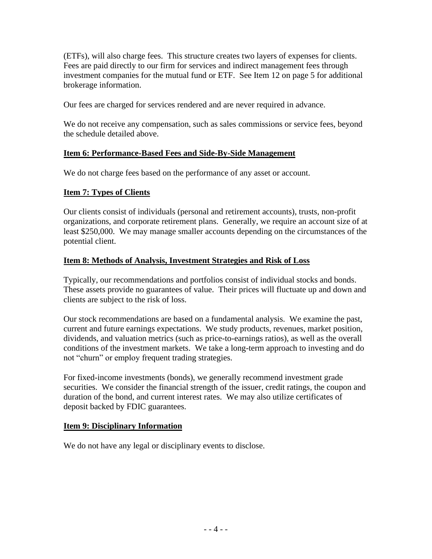(ETFs), will also charge fees. This structure creates two layers of expenses for clients. Fees are paid directly to our firm for services and indirect management fees through investment companies for the mutual fund or ETF. See Item 12 on page 5 for additional brokerage information.

Our fees are charged for services rendered and are never required in advance.

We do not receive any compensation, such as sales commissions or service fees, beyond the schedule detailed above.

#### **Item 6: Performance-Based Fees and Side-By-Side Management**

We do not charge fees based on the performance of any asset or account.

#### **Item 7: Types of Clients**

Our clients consist of individuals (personal and retirement accounts), trusts, non-profit organizations, and corporate retirement plans. Generally, we require an account size of at least \$250,000. We may manage smaller accounts depending on the circumstances of the potential client.

#### **Item 8: Methods of Analysis, Investment Strategies and Risk of Loss**

Typically, our recommendations and portfolios consist of individual stocks and bonds. These assets provide no guarantees of value. Their prices will fluctuate up and down and clients are subject to the risk of loss.

Our stock recommendations are based on a fundamental analysis. We examine the past, current and future earnings expectations. We study products, revenues, market position, dividends, and valuation metrics (such as price-to-earnings ratios), as well as the overall conditions of the investment markets. We take a long-term approach to investing and do not "churn" or employ frequent trading strategies.

For fixed-income investments (bonds), we generally recommend investment grade securities. We consider the financial strength of the issuer, credit ratings, the coupon and duration of the bond, and current interest rates. We may also utilize certificates of deposit backed by FDIC guarantees.

#### **Item 9: Disciplinary Information**

We do not have any legal or disciplinary events to disclose.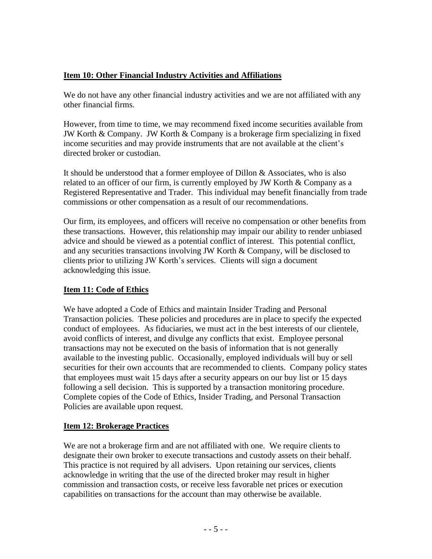## **Item 10: Other Financial Industry Activities and Affiliations**

We do not have any other financial industry activities and we are not affiliated with any other financial firms.

However, from time to time, we may recommend fixed income securities available from JW Korth & Company. JW Korth & Company is a brokerage firm specializing in fixed income securities and may provide instruments that are not available at the client's directed broker or custodian.

It should be understood that a former employee of Dillon & Associates, who is also related to an officer of our firm, is currently employed by JW Korth & Company as a Registered Representative and Trader. This individual may benefit financially from trade commissions or other compensation as a result of our recommendations.

Our firm, its employees, and officers will receive no compensation or other benefits from these transactions. However, this relationship may impair our ability to render unbiased advice and should be viewed as a potential conflict of interest. This potential conflict, and any securities transactions involving JW Korth & Company, will be disclosed to clients prior to utilizing JW Korth's services. Clients will sign a document acknowledging this issue.

## **Item 11: Code of Ethics**

We have adopted a Code of Ethics and maintain Insider Trading and Personal Transaction policies. These policies and procedures are in place to specify the expected conduct of employees. As fiduciaries, we must act in the best interests of our clientele, avoid conflicts of interest, and divulge any conflicts that exist. Employee personal transactions may not be executed on the basis of information that is not generally available to the investing public. Occasionally, employed individuals will buy or sell securities for their own accounts that are recommended to clients. Company policy states that employees must wait 15 days after a security appears on our buy list or 15 days following a sell decision. This is supported by a transaction monitoring procedure. Complete copies of the Code of Ethics, Insider Trading, and Personal Transaction Policies are available upon request.

### **Item 12: Brokerage Practices**

We are not a brokerage firm and are not affiliated with one. We require clients to designate their own broker to execute transactions and custody assets on their behalf. This practice is not required by all advisers. Upon retaining our services, clients acknowledge in writing that the use of the directed broker may result in higher commission and transaction costs, or receive less favorable net prices or execution capabilities on transactions for the account than may otherwise be available.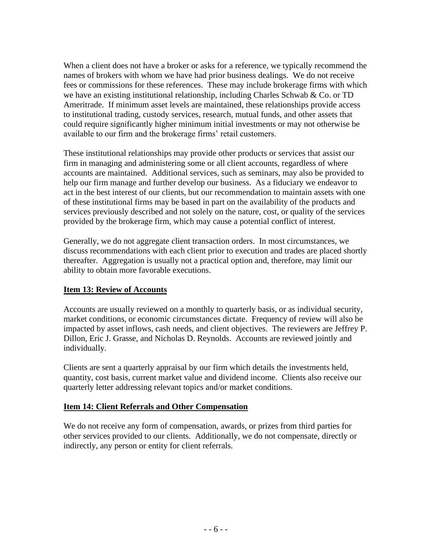When a client does not have a broker or asks for a reference, we typically recommend the names of brokers with whom we have had prior business dealings. We do not receive fees or commissions for these references. These may include brokerage firms with which we have an existing institutional relationship, including Charles Schwab & Co. or TD Ameritrade. If minimum asset levels are maintained, these relationships provide access to institutional trading, custody services, research, mutual funds, and other assets that could require significantly higher minimum initial investments or may not otherwise be available to our firm and the brokerage firms' retail customers.

These institutional relationships may provide other products or services that assist our firm in managing and administering some or all client accounts, regardless of where accounts are maintained. Additional services, such as seminars, may also be provided to help our firm manage and further develop our business. As a fiduciary we endeavor to act in the best interest of our clients, but our recommendation to maintain assets with one of these institutional firms may be based in part on the availability of the products and services previously described and not solely on the nature, cost, or quality of the services provided by the brokerage firm, which may cause a potential conflict of interest.

Generally, we do not aggregate client transaction orders. In most circumstances, we discuss recommendations with each client prior to execution and trades are placed shortly thereafter. Aggregation is usually not a practical option and, therefore, may limit our ability to obtain more favorable executions.

## **Item 13: Review of Accounts**

Accounts are usually reviewed on a monthly to quarterly basis, or as individual security, market conditions, or economic circumstances dictate. Frequency of review will also be impacted by asset inflows, cash needs, and client objectives. The reviewers are Jeffrey P. Dillon, Eric J. Grasse, and Nicholas D. Reynolds. Accounts are reviewed jointly and individually.

Clients are sent a quarterly appraisal by our firm which details the investments held, quantity, cost basis, current market value and dividend income. Clients also receive our quarterly letter addressing relevant topics and/or market conditions.

## **Item 14: Client Referrals and Other Compensation**

We do not receive any form of compensation, awards, or prizes from third parties for other services provided to our clients. Additionally, we do not compensate, directly or indirectly, any person or entity for client referrals.